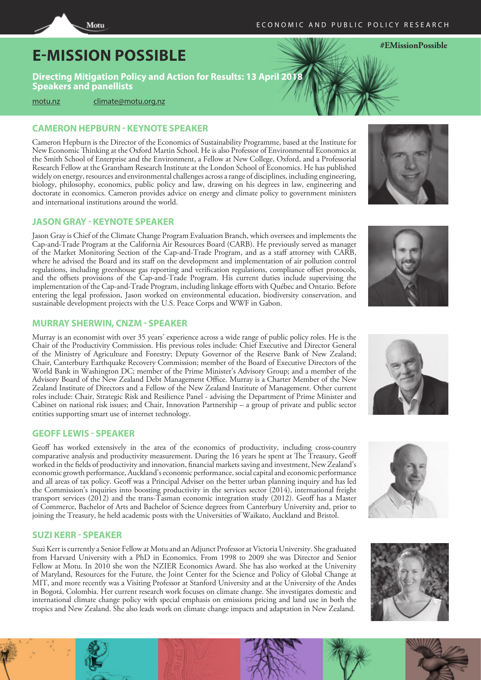# **E-MISSION POSSIBLE**

**Directing Mitigation Policy and Action for Results: 13 April 2018 Speakers and panellists**

[motu.nz](http://motu.nz) [climate@motu.org.nz](mailto: climate@motu.org.nz)

Motu

# **CAMERON HEPBURN - KEYNOTE SPEAKER**

Cameron Hepburn is the Director of the Economics of Sustainability Programme, based at the Institute for New Economic Thinking at the Oxford Martin School. He is also Professor of Environmental Economics at the Smith School of Enterprise and the Environment, a Fellow at New College, Oxford, and a Professorial Research Fellow at the Grantham Research Institute at the London School of Economics. He has published widely on energy, resources and environmental challenges across a range of disciplines, including engineering, biology, philosophy, economics, public policy and law, drawing on his degrees in law, engineering and doctorate in economics. Cameron provides advice on energy and climate policy to government ministers and international institutions around the world.

#### **JASON GRAY - KEYNOTE SPEAKER**

Jason Gray is Chief of the Climate Change Program Evaluation Branch, which oversees and implements the Cap-and-Trade Program at the California Air Resources Board (CARB). He previously served as manager of the Market Monitoring Section of the Cap-and-Trade Program, and as a staff attorney with CARB, where he advised the Board and its staff on the development and implementation of air pollution control regulations, including greenhouse gas reporting and verification regulations, compliance offset protocols, and the offsets provisions of the Cap-and-Trade Program. His current duties include supervising the implementation of the Cap-and-Trade Program, including linkage efforts with Québec and Ontario. Before entering the legal profession, Jason worked on environmental education, biodiversity conservation, and sustainable development projects with the U.S. Peace Corps and WWF in Gabon.

## **MURRAY SHERWIN, CNZM - SPEAKER**

Murray is an economist with over 35 years' experience across a wide range of public policy roles. He is the Chair of the Productivity Commission. His previous roles include: Chief Executive and Director General of the Ministry of Agriculture and Forestry; Deputy Governor of the Reserve Bank of New Zealand; Chair, Canterbury Earthquake Recovery Commission; member of the Board of Executive Directors of the World Bank in Washington DC; member of the Prime Minister's Advisory Group; and a member of the Advisory Board of the New Zealand Debt Management Office. Murray is a Charter Member of the New Zealand Institute of Directors and a Fellow of the New Zealand Institute of Management. Other current roles include: Chair, Strategic Risk and Resilience Panel - advising the Department of Prime Minister and Cabinet on national risk issues; and Chair, Innovation Partnership – a group of private and public sector entities supporting smart use of internet technology.

#### **GEOFF LEWIS - SPEAKER**

Geoff has worked extensively in the area of the economics of productivity, including cross-country comparative analysis and productivity measurement. During the 16 years he spent at The Treasury, Geoff worked in the fields of productivity and innovation, financial markets saving and investment, New Zealand's economic growth performance, Auckland's economic performance, social capital and economic performance and all areas of tax policy. Geoff was a Principal Adviser on the better urban planning inquiry and has led the Commission's inquiries into boosting productivity in the services sector (2014), international freight transport services (2012) and the trans-Tasman economic integration study (2012). Geoff has a Master of Commerce, Bachelor of Arts and Bachelor of Science degrees from Canterbury University and, prior to joining the Treasury, he held academic posts with the Universities of Waikato, Auckland and Bristol.

## **SUZI KERR - SPEAKER**

Suzi Kerr is currently a Senior Fellow at Motu and an Adjunct Professor at Victoria University. She graduated from Harvard University with a PhD in Economics. From 1998 to 2009 she was Director and Senior Fellow at Motu. In 2010 she won the NZIER Economics Award. She has also worked at the University of Maryland, Resources for the Future, the Joint Center for the Science and Policy of Global Change at MIT, and more recently was a Visiting Professor at Stanford University and at the University of the Andes in Bogotá, Colombia. Her current research work focuses on climate change. She investigates domestic and international climate change policy with special emphasis on emissions pricing and land use in both the tropics and New Zealand. She also leads work on climate change impacts and adaptation in New Zealand.